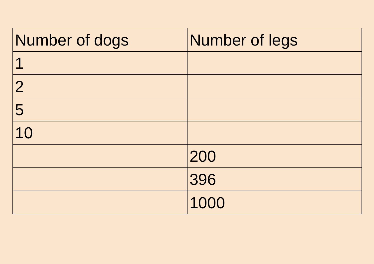| Number of dogs | <b>Number of legs</b> |
|----------------|-----------------------|
| $\overline{1}$ |                       |
| $\overline{2}$ |                       |
| 5              |                       |
| 10             |                       |
|                | 200                   |
|                | 396                   |
|                | 1000                  |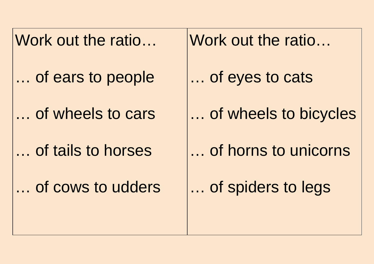Work out the ratio…

… of ears to people

… of wheels to cars

… of tails to horses

… of cows to udders

Work out the ratio…

… of eyes to cats

… of wheels to bicycles

… of horns to unicorns

… of spiders to legs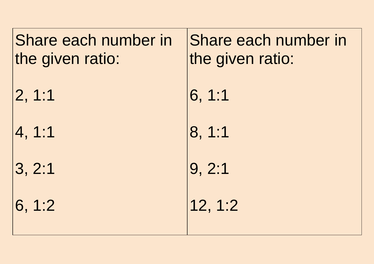| Share each number in<br>the given ratio: | Share each number in<br>the given ratio: |
|------------------------------------------|------------------------------------------|
| 2, 1:1                                   | 6, 1:1                                   |
| 4, 1:1                                   | 8, 1:1                                   |
| 3, 2:1                                   | 9, 2:1                                   |
| 6, 1:2                                   | 12, 1:2                                  |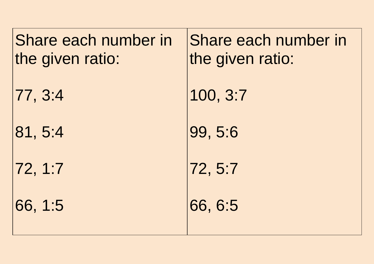| Share each number in<br>the given ratio: | Share each number in<br>the given ratio: |
|------------------------------------------|------------------------------------------|
| 177, 3:4                                 | 100, 3:7                                 |
| 81, 5:4                                  | 99, 5:6                                  |
| 72, 1:7                                  | 72, 5:7                                  |
| 66, 1:5                                  | 66, 6:5                                  |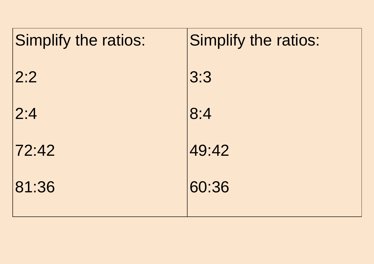| Simplify the ratios: | Simplify the ratios: |
|----------------------|----------------------|
| 2:2                  | 3:3                  |
| 2:4                  | 8:4                  |
| 72:42                | 49:42                |
| 81:36                | 60:36                |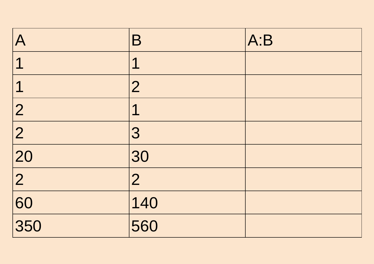| $\boldsymbol{\mathsf{A}}$ | B              | A:B |
|---------------------------|----------------|-----|
| 1                         | $\mathbf 1$    |     |
| 1                         | $\overline{2}$ |     |
| $\overline{2}$            | $\mathbf 1$    |     |
| $\boxed{2}$               | 3              |     |
| $\boxed{20}$              | 30             |     |
| $\overline{2}$            | $\overline{2}$ |     |
| 60                        | 140            |     |
| 350                       | 560            |     |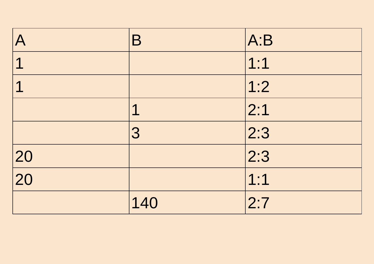| $\bm{\mathsf{A}}$ | B           | A:B |
|-------------------|-------------|-----|
|                   |             | 1:1 |
| 1                 |             | 1:2 |
|                   | $\mathbf 1$ | 2:1 |
|                   | 3           | 2:3 |
| 20                |             | 2:3 |
| 20                |             | 1:1 |
|                   | 140         | 2:7 |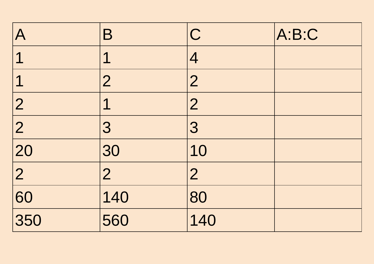| $\boldsymbol{\mathsf{A}}$ | B              | $\mathsf C$    | A:B:C |
|---------------------------|----------------|----------------|-------|
| $\overline{1}$            | $\mathbf 1$    | 4              |       |
| $\overline{1}$            | $\overline{2}$ | $\overline{2}$ |       |
| $\overline{2}$            | $\mathbf 1$    | $\overline{2}$ |       |
| $\overline{2}$            | 3              | 3              |       |
| 20                        | 30             | 10             |       |
| $\overline{2}$            | $\overline{2}$ | $\overline{2}$ |       |
| 60                        | 140            | 80             |       |
| 350                       | 560            | 140            |       |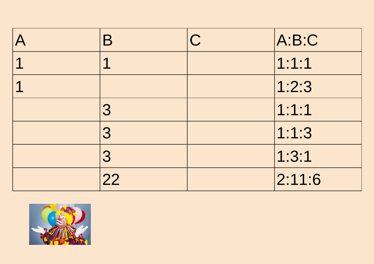| $\sf B$ | $\mathbf C$ | A:B:C  |
|---------|-------------|--------|
|         |             | 1:1:1  |
|         |             | 1:2:3  |
| 3       |             | 1:1:1  |
| 3       |             | 1:1:3  |
| 3       |             | 1:3:1  |
| 22      |             | 2:11:6 |

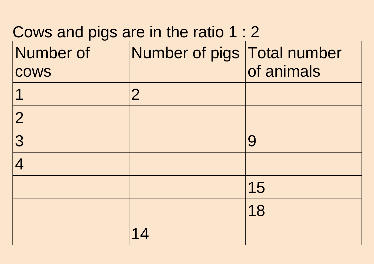| Cows and pigs are in the ratio 1 : 2 |                             |            |
|--------------------------------------|-----------------------------|------------|
| Number of                            | Number of pigs Total number |            |
| <b>COWS</b>                          |                             | of animals |
|                                      | $\overline{2}$              |            |
| $\overline{2}$                       |                             |            |
| 3                                    |                             | 9          |
|                                      |                             |            |
|                                      |                             | 15         |
|                                      |                             | 18         |
|                                      |                             |            |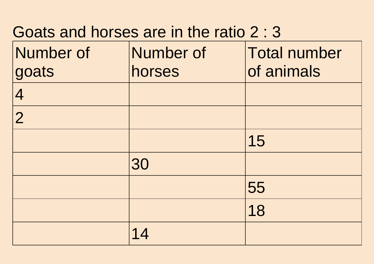## Goats and horses are in the ratio 2 : 3

| Number of<br>goats | <b>Number of</b><br>horses | <b>Total number</b><br>of animals |
|--------------------|----------------------------|-----------------------------------|
| $\overline{4}$     |                            |                                   |
| $\overline{2}$     |                            |                                   |
|                    |                            | 15                                |
|                    | 30                         |                                   |
|                    |                            | 55                                |
|                    |                            | 18                                |
|                    | 14                         |                                   |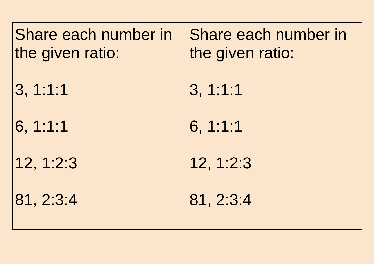| Share each number in<br>the given ratio: |
|------------------------------------------|
| 3, 1:1:1                                 |
| 6, 1:1:1                                 |
| 12, 1:2:3                                |
| 81, 2:3:4                                |

Share each number in the given ratio: 3, 1:1:1 6, 1:1:1 12, 1:2:3 81, 2:3:4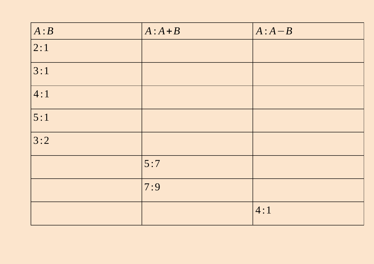| A:B | $A:A+B$ | $A:A-B$ |
|-----|---------|---------|
| 2:1 |         |         |
| 3:1 |         |         |
| 4:1 |         |         |
| 5:1 |         |         |
| 3:2 |         |         |
|     | 5:7     |         |
|     | 7:9     |         |
|     |         | 4:1     |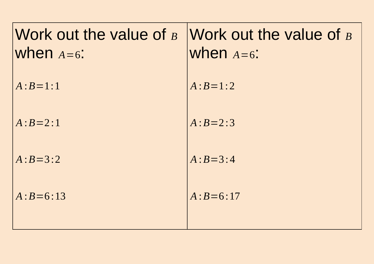| Work out the value of $_B$ Work out the value of $_B$<br>when $A=6$ : | when $A=6$ : |
|-----------------------------------------------------------------------|--------------|
| $A:B=1:1$                                                             | $A:B=1:2$    |
| $A:B=2:1$                                                             | $A:B=2:3$    |
| $A:B=3:2$                                                             | $A:B=3:4$    |
| $A:B=6:13$                                                            | $A: B=6:17$  |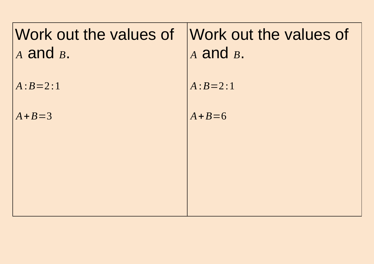| Work out the values of Work out the values of<br>$A$ and $B$ . | $A$ and $B$ . |
|----------------------------------------------------------------|---------------|
| $A:B=2:1$                                                      | $A:B=2:1$     |
| $A+B=3$                                                        | $A+B=6$       |
|                                                                |               |
|                                                                |               |
|                                                                |               |